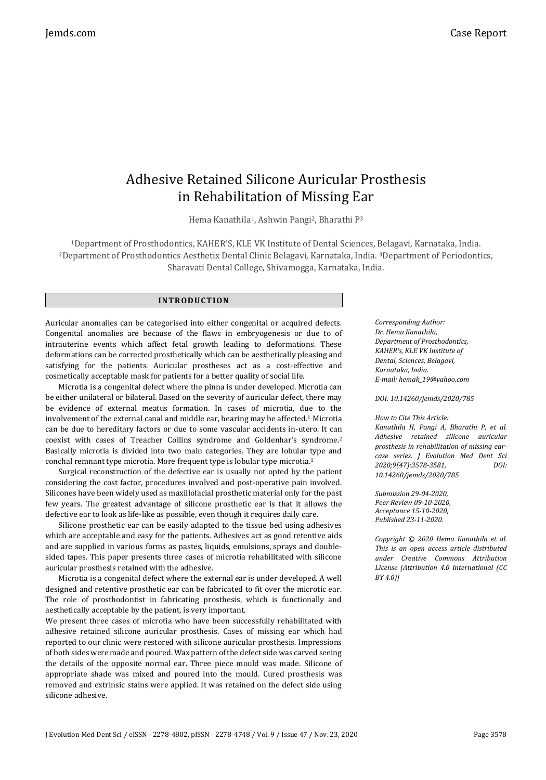# Adhesive Retained Silicone Auricular Prosthesis in Rehabilitation of Missing Ear

Hema Kanathila<sup>1</sup>, Ashwin Pangi<sup>2</sup>, Bharathi P<sup>3</sup>

<sup>1</sup>Department of Prosthodontics, KAHER'S, KLE VK Institute of Dental Sciences, Belagavi, Karnataka, India. <sup>2</sup>Department of Prosthodontics Aesthetix Dental Clinic Belagavi, Karnataka, India. <sup>3</sup>Department of Periodontics, Sharavati Dental College, Shivamogga, Karnataka, India.

#### **INTR ODU CT IO N**

Auricular anomalies can be categorised into either congenital or acquired defects. Congenital anomalies are because of the flaws in embryogenesis or due to of intrauterine events which affect fetal growth leading to deformations. These deformations can be corrected prosthetically which can be aesthetically pleasing and satisfying for the patients. Auricular prostheses act as a cost-effective and cosmetically acceptable mask for patients for a better quality of social life.

Microtia is a congenital defect where the pinna is under developed. Microtia can be either unilateral or bilateral. Based on the severity of auricular defect, there may be evidence of external meatus formation. In cases of microtia, due to the involvement of the external canal and middle ear, hearing may be affected.<sup>1</sup> Microtia can be due to hereditary factors or due to some vascular accidents in-utero. It can coexist with cases of Treacher Collins syndrome and Goldenhar's syndrome.<sup>2</sup> Basically microtia is divided into two main categories. They are lobular type and conchal remnant type microtia. More frequent type is lobular type microtia.<sup>1</sup>

Surgical reconstruction of the defective ear is usually not opted by the patient considering the cost factor, procedures involved and post-operative pain involved. Silicones have been widely used as maxillofacial prosthetic material only for the past few years. The greatest advantage of silicone prosthetic ear is that it allows the defective ear to look as life-like as possible, even though it requires daily care.

Silicone prosthetic ear can be easily adapted to the tissue bed using adhesives which are acceptable and easy for the patients. Adhesives act as good retentive aids and are supplied in various forms as pastes, liquids, emulsions, sprays and doublesided tapes. This paper presents three cases of microtia rehabilitated with silicone auricular prosthesis retained with the adhesive.

Microtia is a congenital defect where the external ear is under developed. A well designed and retentive prosthetic ear can be fabricated to fit over the microtic ear. The role of prosthodontist in fabricating prosthesis, which is functionally and aesthetically acceptable by the patient, is very important.

We present three cases of microtia who have been successfully rehabilitated with adhesive retained silicone auricular prosthesis. Cases of missing ear which had reported to our clinic were restored with silicone auricular prosthesis. Impressions of both sides were made and poured. Wax pattern of the defect side was carved seeing the details of the opposite normal ear. Three piece mould was made. Silicone of appropriate shade was mixed and poured into the mould. Cured prosthesis was removed and extrinsic stains were applied. It was retained on the defect side using silicone adhesive.

*Corresponding Author: Dr. Hema Kanathila, Department of Prosthodontics, KAHER's, KLE VK Institute of Dental, Sciences, Belagavi, Karnataka, India. E-mail: hemak\_19@yahoo.com*

*DOI: 10.14260/jemds/2020/785*

*How to Cite This Article: Kanathila H, Pangi A, Bharathi P, et al. Adhesive retained silicone auricular prosthesis in rehabilitation of missing earcase series. J Evolution Med Dent Sci 2020;9(47):3578-3581, DOI: 10.14260/jemds/2020/785*

*Submission 29-04-2020, Peer Review 09-10-2020, Acceptance 15-10-2020, Published 23-11-2020.*

*Copyright © 2020 Hema Kanathila et al. This is an open access article distributed under Creative Commons Attribution License [Attribution 4.0 International (CC BY 4.0)]*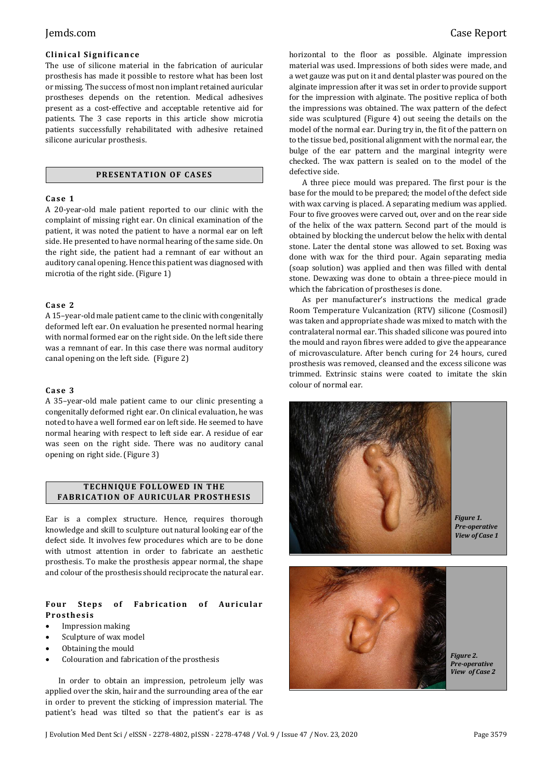# **Clinical Significance**

The use of silicone material in the fabrication of auricular prosthesis has made it possible to restore what has been lost or missing. The success of most non implant retained auricular prostheses depends on the retention. Medical adhesives present as a cost-effective and acceptable retentive aid for patients. The 3 case reports in this article show microtia patients successfully rehabilitated with adhesive retained silicone auricular prosthesis.

#### **PRESENTATION OF CASES**

#### **Ca se 1**

A 20-year-old male patient reported to our clinic with the complaint of missing right ear. On clinical examination of the patient, it was noted the patient to have a normal ear on left side. He presented to have normal hearing of the same side. On the right side, the patient had a remnant of ear without an auditory canal opening. Hence this patient was diagnosed with microtia of the right side. (Figure 1)

### **Ca se 2**

A 15–year-old male patient came to the clinic with congenitally deformed left ear. On evaluation he presented normal hearing with normal formed ear on the right side. On the left side there was a remnant of ear. In this case there was normal auditory canal opening on the left side. (Figure 2)

#### **Ca se 3**

A 35–year-old male patient came to our clinic presenting a congenitally deformed right ear. On clinical evaluation, he was noted to have a well formed ear on left side. He seemed to have normal hearing with respect to left side ear. A residue of ear was seen on the right side. There was no auditory canal opening on right side. (Figure 3)

### **TECHNIQUE FOLLOWED IN THE FABRICATION OF AURICULAR PROSTHESIS**

Ear is a complex structure. Hence, requires thorough knowledge and skill to sculpture out natural looking ear of the defect side. It involves few procedures which are to be done with utmost attention in order to fabricate an aesthetic prosthesis. To make the prosthesis appear normal, the shape and colour of the prosthesis should reciprocate the natural ear.

### Four Steps of Fabrication of Auricular **Pr o s the si s**

- Impression making
- Sculpture of wax model
- Obtaining the mould
- Colouration and fabrication of the prosthesis

 In order to obtain an impression, petroleum jelly was applied over the skin, hair and the surrounding area of the ear in order to prevent the sticking of impression material. The patient's head was tilted so that the patient's ear is as horizontal to the floor as possible. Alginate impression material was used. Impressions of both sides were made, and a wet gauze was put on it and dental plaster was poured on the alginate impression after it was set in order to provide support for the impression with alginate. The positive replica of both the impressions was obtained. The wax pattern of the defect side was sculptured (Figure 4) out seeing the details on the model of the normal ear. During try in, the fit of the pattern on to the tissue bed, positional alignment with the normal ear, the bulge of the ear pattern and the marginal integrity were checked. The wax pattern is sealed on to the model of the defective side.

A three piece mould was prepared. The first pour is the base for the mould to be prepared; the model of the defect side with wax carving is placed. A separating medium was applied. Four to five grooves were carved out, over and on the rear side of the helix of the wax pattern. Second part of the mould is obtained by blocking the undercut below the helix with dental stone. Later the dental stone was allowed to set. Boxing was done with wax for the third pour. Again separating media (soap solution) was applied and then was filled with dental stone. Dewaxing was done to obtain a three-piece mould in which the fabrication of prostheses is done.

As per manufacturer's instructions the medical grade Room Temperature Vulcanization (RTV) silicone (Cosmosil) was taken and appropriate shade was mixed to match with the contralateral normal ear. This shaded silicone was poured into the mould and rayon fibres were added to give the appearance of microvasculature. After bench curing for 24 hours, cured prosthesis was removed, cleansed and the excess silicone was trimmed. Extrinsic stains were coated to imitate the skin colour of normal ear.

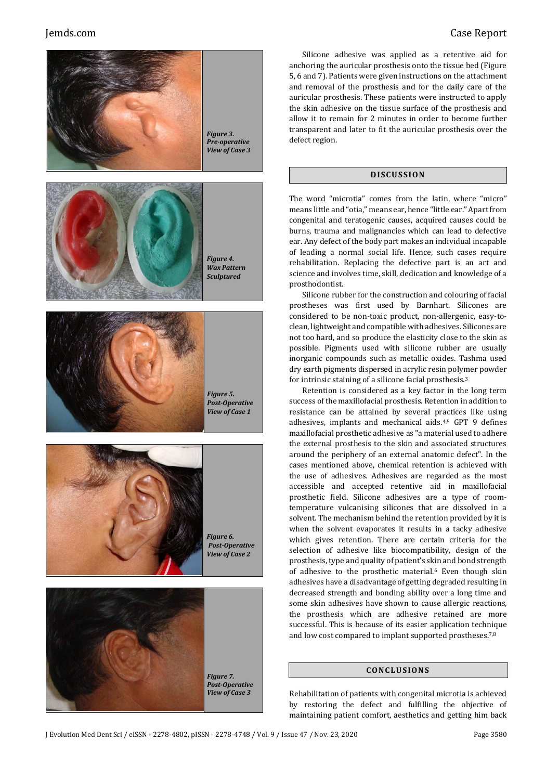





Silicone adhesive was applied as a retentive aid for anchoring the auricular prosthesis onto the tissue bed (Figure 5, 6 and 7). Patients were given instructions on the attachment and removal of the prosthesis and for the daily care of the auricular prosthesis. These patients were instructed to apply the skin adhesive on the tissue surface of the prosthesis and allow it to remain for 2 minutes in order to become further transparent and later to fit the auricular prosthesis over the defect region.

## **DI SCU S SI ON**

The word "microtia" comes from the latin, where "micro" means little and "otia," means ear, hence "little ear." Apart from congenital and teratogenic causes, acquired causes could be burns, trauma and malignancies which can lead to defective ear. Any defect of the body part makes an individual incapable of leading a normal social life. Hence, such cases require rehabilitation. Replacing the defective part is an art and science and involves time, skill, dedication and knowledge of a prosthodontist.

Silicone rubber for the construction and colouring of facial prostheses was first used by Barnhart. Silicones are considered to be non-toxic product, non-allergenic, easy-toclean, lightweight and compatible with adhesives. Silicones are not too hard, and so produce the elasticity close to the skin as possible. Pigments used with silicone rubber are usually inorganic compounds such as metallic oxides. Tashma used dry earth pigments dispersed in acrylic resin polymer powder for intrinsic staining of a silicone facial prosthesis.<sup>3</sup>

Retention is considered as a key factor in the long term success of the maxillofacial prosthesis. Retention in addition to resistance can be attained by several practices like using adhesives, implants and mechanical aids.4,5 GPT 9 defines maxillofacial prosthetic adhesive as "a material used to adhere the external prosthesis to the skin and associated structures around the periphery of an external anatomic defect". In the cases mentioned above, chemical retention is achieved with the use of adhesives. Adhesives are regarded as the most accessible and accepted retentive aid in maxillofacial prosthetic field. Silicone adhesives are a type of roomtemperature vulcanising silicones that are dissolved in a solvent. The mechanism behind the retention provided by it is when the solvent evaporates it results in a tacky adhesive which gives retention. There are certain criteria for the selection of adhesive like biocompatibility, design of the prosthesis, type and quality of patient's skin and bond strength of adhesive to the prosthetic material.<sup>6</sup> Even though skin adhesives have a disadvantage of getting degraded resulting in decreased strength and bonding ability over a long time and some skin adhesives have shown to cause allergic reactions, the prosthesis which are adhesive retained are more successful. This is because of its easier application technique and low cost compared to implant supported prostheses.7,8

#### **CONC LU S ION S**

Rehabilitation of patients with congenital microtia is achieved by restoring the defect and fulfilling the objective of maintaining patient comfort, aesthetics and getting him back

*Figure 5. Post-Operative View of Case 1*